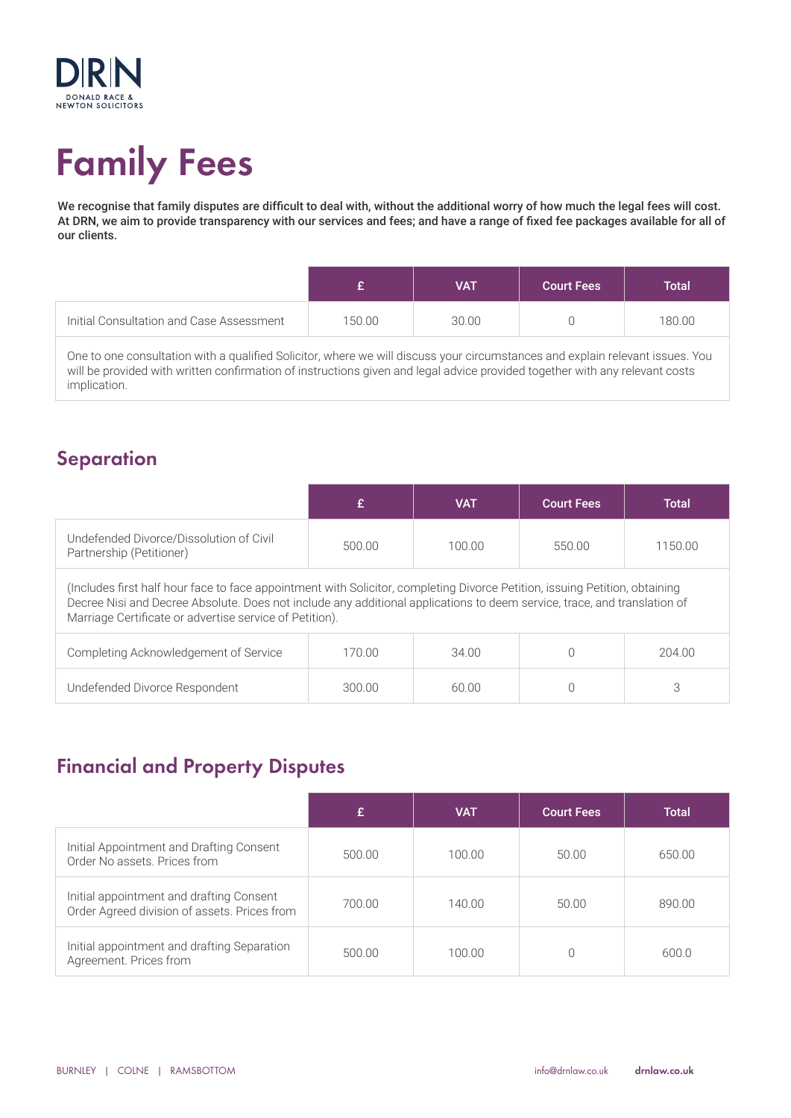

# Family Fees

We recognise that family disputes are difficult to deal with, without the additional worry of how much the legal fees will cost. At DRN, we aim to provide transparency with our services and fees; and have a range of fixed fee packages available for all of our clients.

|                                          |        | <b>VAT</b> | <b>Court Fees</b> | Total  |
|------------------------------------------|--------|------------|-------------------|--------|
| Initial Consultation and Case Assessment | 150.00 | 30.00      |                   | 180.00 |

One to one consultation with a qualified Solicitor, where we will discuss your circumstances and explain relevant issues. You will be provided with written confirmation of instructions given and legal advice provided together with any relevant costs implication.

#### **Separation**

|                                                                                                                                                                                                                                                                                                                    |        | <b>VAT</b> | <b>Court Fees</b> | Total  |  |
|--------------------------------------------------------------------------------------------------------------------------------------------------------------------------------------------------------------------------------------------------------------------------------------------------------------------|--------|------------|-------------------|--------|--|
| Undefended Divorce/Dissolution of Civil<br>100.00<br>500.00<br>550.00<br>1150.00<br>Partnership (Petitioner)                                                                                                                                                                                                       |        |            |                   |        |  |
| (Includes first half hour face to face appointment with Solicitor, completing Divorce Petition, issuing Petition, obtaining<br>Decree Nisi and Decree Absolute. Does not include any additional applications to deem service, trace, and translation of<br>Marriage Certificate or advertise service of Petition). |        |            |                   |        |  |
| Completing Acknowledgement of Service                                                                                                                                                                                                                                                                              | 170.00 | 34.00      |                   | 204.00 |  |
| Undefended Divorce Respondent                                                                                                                                                                                                                                                                                      | 300.00 | 60.00      |                   | 3      |  |

### Financial and Property Disputes

|                                                                                          |        | <b>VAT</b> | <b>Court Fees</b> | <b>Total</b> |
|------------------------------------------------------------------------------------------|--------|------------|-------------------|--------------|
| Initial Appointment and Drafting Consent<br>Order No assets. Prices from                 | 500.00 | 100.00     | 50.00             | 650.00       |
| Initial appointment and drafting Consent<br>Order Agreed division of assets. Prices from | 700.00 | 140.00     | 50.00             | 890.00       |
| Initial appointment and drafting Separation<br>Agreement. Prices from                    | 500.00 | 100.00     |                   | 600.0        |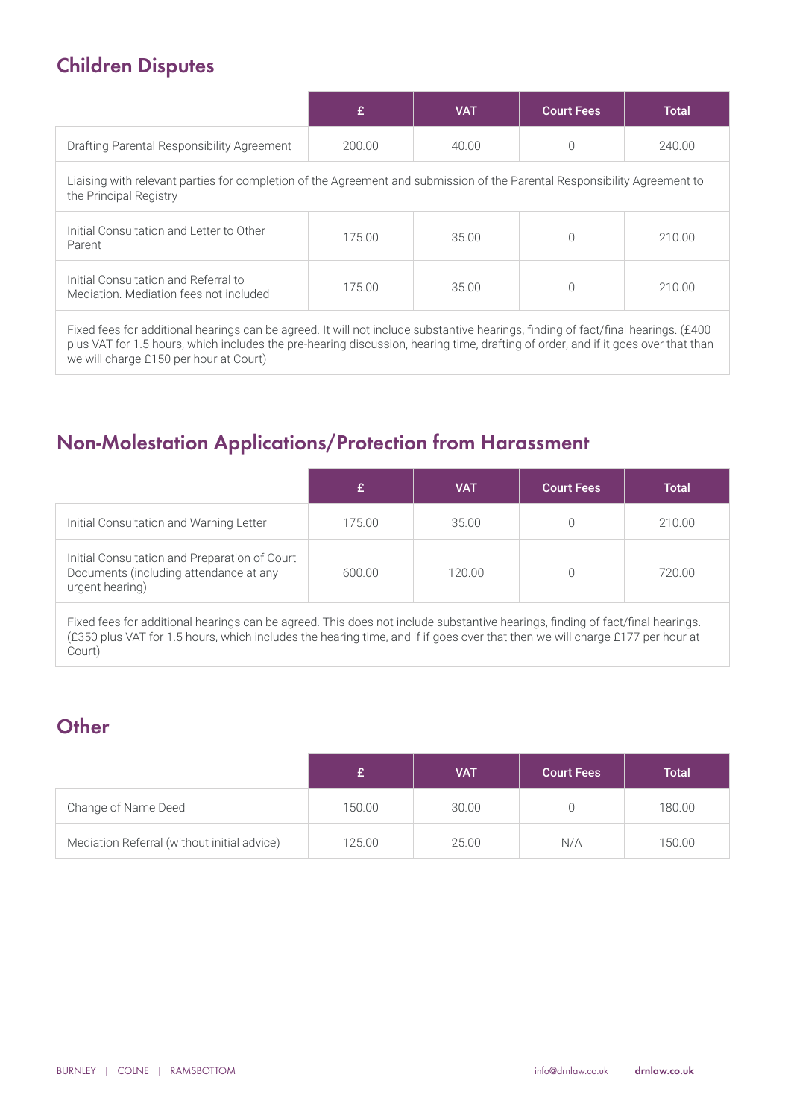## Children Disputes

we will charge £150 per hour at Court)

|                                                                                                                                                                                                                                                                        |        | <b>VAT</b> | <b>Court Fees</b> | <b>Total</b> |  |
|------------------------------------------------------------------------------------------------------------------------------------------------------------------------------------------------------------------------------------------------------------------------|--------|------------|-------------------|--------------|--|
| Drafting Parental Responsibility Agreement                                                                                                                                                                                                                             | 200.00 | 40.00      | 0                 | 240.00       |  |
| Liaising with relevant parties for completion of the Agreement and submission of the Parental Responsibility Agreement to<br>the Principal Registry                                                                                                                    |        |            |                   |              |  |
| Initial Consultation and Letter to Other<br>Parent                                                                                                                                                                                                                     | 175.00 | 35.00      | 0                 | 210.00       |  |
| Initial Consultation and Referral to<br>Mediation. Mediation fees not included                                                                                                                                                                                         | 175.00 | 35.00      | $\Omega$          | 210.00       |  |
| Fixed fees for additional hearings can be agreed. It will not include substantive hearings, finding of fact/final hearings. (£400<br>plus VAT for 1.5 hours, which includes the pre-hearing discussion, hearing time, drafting of order, and if it goes over that than |        |            |                   |              |  |

### Non-Molestation Applications/Protection from Harassment

|                                                                                                            |        | VAT    | <b>Court Fees</b> | <b>Total</b> |
|------------------------------------------------------------------------------------------------------------|--------|--------|-------------------|--------------|
| Initial Consultation and Warning Letter                                                                    | 175.00 | 35.00  |                   | 210.00       |
| Initial Consultation and Preparation of Court<br>Documents (including attendance at any<br>urgent hearing) | 600.00 | 120.00 |                   | 720.00       |

Fixed fees for additional hearings can be agreed. This does not include substantive hearings, finding of fact/final hearings. (£350 plus VAT for 1.5 hours, which includes the hearing time, and if if goes over that then we will charge £177 per hour at Court)

# **Other**

|                                             |        | <b>VAT</b> | <b>Court Fees</b> | <b>Total</b> |
|---------------------------------------------|--------|------------|-------------------|--------------|
| Change of Name Deed                         | 150.00 | 30.00      |                   | 180.00       |
| Mediation Referral (without initial advice) | 125.00 | 25.00      | N/A               | 150.00       |